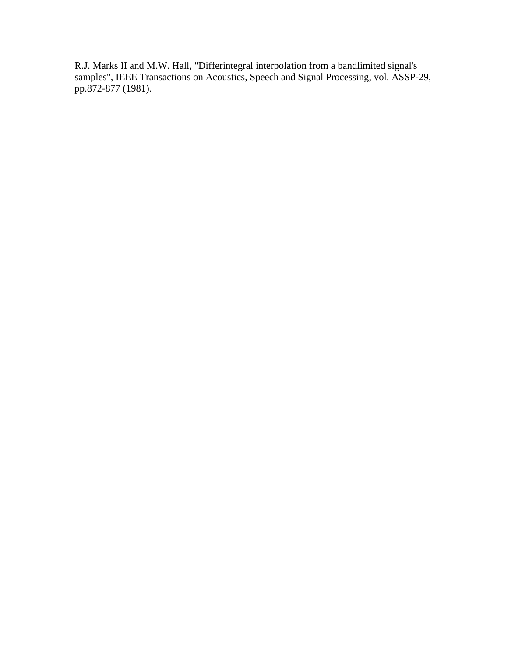R.J. Marks II and M.W. Hall, "Differintegral interpolation from a bandlimited signal's samples", IEEE Transactions on Acoustics, Speech and Signal Processing, vol. ASSP-29, pp.872-877 (1981).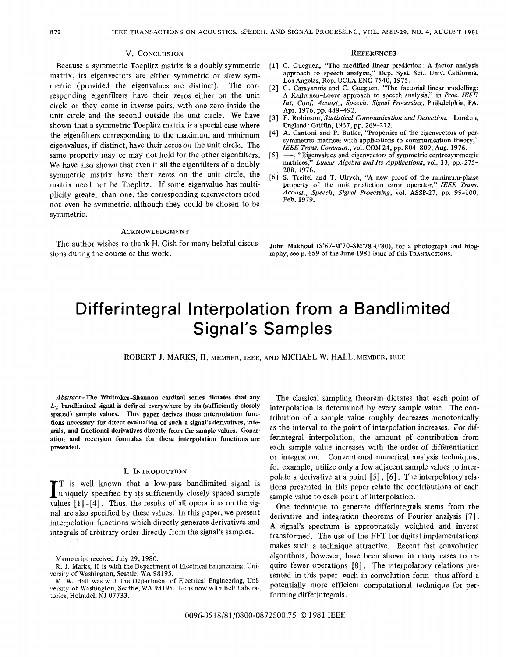### **V.** CONCLUSION

Because a symmetric Toeplitz matrix is a doubly symmetric matrix, its eigenvectors are either symmetric or skew symmetric (provided the eigenvalues are distinct). The corresponding eigenfdters have their zeros either on the unit circle or they come in inverse pairs, with one zero inside the unit circle and the second outside the unit circle. We have shown that a symmetric Toeplitz matrix is a special case where the eigenfilters corresponding to the maximum and minimum eigenvalues, if distinct, have their zeros *on* the unit circle. The same property may or may not hold for the other eigenfilters. We have also shown that even if all the eigenfilters of a doubly symmetric matrix have their zeros on the unit circle, the matrix need not be Toeplitz. If some eigenvalue has multiplicity greater than one, the corresponding eigenvectors need not even be symmetric, although they could be chosen to be symmetric.

## ACKNOWLEDGMENT

The author wishes to thank H. Gish for many helpful discussions during the course of this work.

#### **REFERENCES**

- [l] C. Gueguen, "The modified linear prediction: A factor analysis approach to speech analysis," Dep. Syst. Sci., Univ. California, **Los** Angeles, Rep. UCLA-ENG 7540,1975.
- [2] G. Carayannis and C. Gueguen, "The factorial linear modelling: A Karhunen-Loeve approach to speech analysis," in *Proc.* IEEE Int. Conf. Acoust., Speech, Signal Processing, Philadelphia, PA, Apr. 1976, pp. 489-492.
- [3] E. Robinson, Statistical Communication and Detection. London, England: Griffin, 1967, pp. 269-272.
- [4] **A.** Cantoni and P. Butler, "Properties **of** the eigenvectors of persymmetric matrices with applications to communication theory, IEEE Trans. *Commun.,* vol. COM-24, pp. 804-809, Aug. 1976.
- [5]  $-$ , "Eigenvalues and eigenvectors of symmetric centrosymmetric matrices." *Linear Algebra and Its Applications*, vol. 13, pp. 275– Linear Algebra and Its Applications, vol. 13, pp. 275-288,1976.
- [6] **S.** Treitel and T. Ulrych, **"A** new proof of the minimum-phase property of the unit prediction error operator," IEEE *Trans.*  Acoust., Speech, Signal Processing, vol. ASSP-27, pp. 99-100, Feb. 1979.

John Makhoul (S'67-M'70-SM'78-F'80), for a photograph and biography, see p. 659 of the June 1981 issue of this TRANSACTIONS.

# Differintegral Interpolation from a Bandlimited Signal's Samples

ROBERT J. MARKS, II, MEMBER, IEEE, AND MICHAEL W. HALL, MEMBER, IEEE

Abstract-The Whittaker-Shannon cardinal series dictates that any *Lz* bandlimited signal is defined everywhere **by** its (sufficiently closely spaced) sample values. **This** paper derives those interpolation functions necessary for direct evaluation **of** such a **signal's** derivatives, integrals, and fractional derivatives directly from the sample values. Generation and recursion formulas for these interpolation functions are presented.

## **I.** INTRODUCTION

I is well known that a low-pass bandlimited signal is<br>uniquely specified by its sufficiently closely spaced sample<br>values [1]-[4] Thus the results of all operations on the sig-T is well known that a low-pass bandlimited signal is values  $[1]$ - $[4]$ . Thus, the results of all operations on the signal are also specified by these values. In this paper, we present interpolation functions which directly generate derivatives and integrals of arbitrary order directly from the signal's samples.

The classical sampling theorem dictates that each point of interpolation is determined by every sample value. The contribution of a sample value roughly decreases monotonically as the interval to the point of interpolation increases. For differintegral interpolation, the amount of contribution from each sample value increases with the order of differentiation or integration. Conventional numerical analysis techniques, for example, utilize only a few adjacent sample values to interpolate a derivative at a point [5], **[6].** The interpolatory relations presented in this paper relate the contributions of each sample value to each point of interpolation.

One technique to generate differintegrals stems from the derivative and integration theorems of Fourier analysis [7]. A signal's spectrum is appropriately weighted and inverse transformed. The use of the FFT for digital implementations makes such a technique attractive. Recent fast convolution algorithms, however, have been shown in many cases to require fewer operations [8]. The interpolatory relations presented in this paper-each in convolution form-thus afford a potentially more efficient computational technique for performing differintegrals.

Manuscript received July 29, 1980.

R. J. Marks, I1 is with the Department of Electrical Engineering, University of Washington, Seattle, **WA** 98195.

M. W. Hall was with the Department of Electrical Engineering, University of Washington, Seattle, WA 98195. He is now with Bell Laboratories, Holmdel, NJ 07733.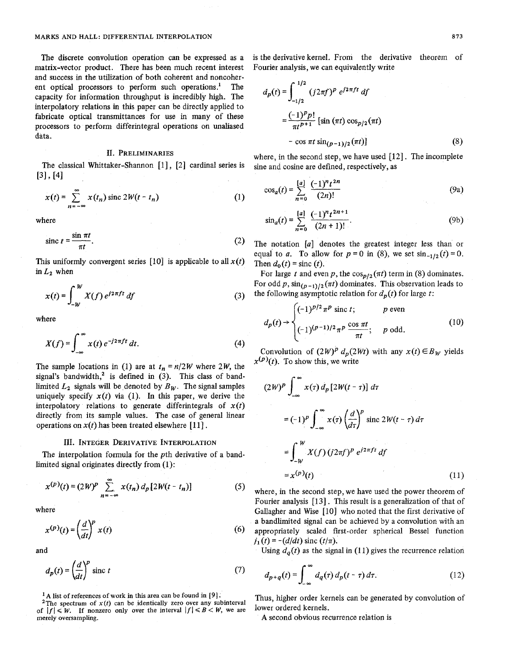matrix-vector product. There has been much recent interest and success in the utilization of both coherent and noncoherent optical processors to perform such operations.' The capacity for information throughput is incredibly high. The interpolatory relations in this paper can be directly applied to fabricate optical transmittances for use in many of these processors to perform differintegral operations on unaliased data.

## **11. PRELIMINARIES**

The classical Whittaker-Shannon *[I]* , *[2]* cardinal series is *[31* , *[41* 

$$
x(t) = \sum_{n = -\infty}^{\infty} x(t_n) \operatorname{sinc} 2W(t - t_n)
$$
 (1)

where

$$
\text{sinc } t = \frac{\sin \pi t}{\pi t}.
$$

This uniformly convergent series  $[10]$  is applicable to all  $x(t)$ in  $L_2$  when

$$
x(t) = \int_{-W}^{W} X(f) e^{j2\pi ft} df
$$
 (3)

where

$$
x(t) = \int_{-W}^{W} X(f) e^{j2\pi ft} df
$$
 (3)  
here  

$$
X(f) = \int_{-\infty}^{\infty} x(t) e^{-j2\pi ft} dt.
$$
 (4)

The sample locations in (1) are at  $t_n = n/2W$  where 2W, the signal's bandwidth,<sup>2</sup> is defined in (3). This class of bandlimited  $L_2$  signals will be denoted by  $B_W$ . The signal samples uniquely specify  $x(t)$  via (1). In this paper, we derive the interpolatory relations to generate differintegrals of  $x(t)$ directly from its sample values. The case of general linear operations on  $x(t)$  has been treated elsewhere [11].

### **111. INTEGER DERIVATIVE INTERPOLATION**

The interpolation formula for the pth derivative of a bandlimited signal originates directly from (1):

$$
x^{(p)}(t) = (2W)^p \sum_{n=-\infty}^{\infty} x(t_n) d_p [2W(t - t_n)]
$$
 (5)

where

$$
x^{(p)}(t) = \left(\frac{d}{dt}\right)^p x(t) \tag{6}
$$

and

$$
d_p(t) = \left(\frac{d}{dt}\right)^p \text{ sinc } t \tag{7}
$$

**A list of references of work in this area** can **be found in** *[9].* 

of  $|f| \le W$ . If nonzero only over the interval  $|f| \le B \le W$ , we are merely oversampling.

The discrete convolution operation can be expressed as a is the derivative kernel. From the derivative theorem of natrix-vector product. There has been much recent interest Fourier analysis, we can equivalently write

$$
d_p(t) = \int_{-1/2}^{1/2} (j2\pi f)^p e^{j2\pi ft} df
$$
  
\n
$$
= \frac{(-1)^p p!}{\pi t^{p+1}} [\sin(\pi t) \cos_{p/2}(\pi t)]
$$
  
\n
$$
- \cos \pi t \sin_{(p-1)/2}(\pi t)]
$$
(8)  
\nere, in the second step, we have used [12]. The incomplete  
\ne and cosine are defined, respectively, as  
\n
$$
\cos_a(t) = \sum_{n=0}^{[a]} \frac{(-1)^n t^{2n}}{(2n)!}
$$
(9a)

where, in the second step, we have used *[12]* . The incomplete sine and cosine are defined, respectively, as

$$
\cos_a(t) = \sum_{n=0}^{[a]} \frac{(-1)^n t^{2n}}{(2n)!}
$$
 (9a)

$$
\sin_a(t) = \sum_{n=0}^{[a]} \frac{(-1)^n t^{2n+1}}{(2n+1)!}.
$$
 (9b)

The notation *[a]* denotes the greatest integer less than or equal to *a*. To allow for  $p = 0$  in (8), we set  $\sin_{-1/2}(t) = 0$ . Then  $d_0(t) = \text{sinc}(t)$ .

For large *t* and even *p*, the  $\cos_{p/2}(\pi t)$  term in (8) dominates. For odd p,  $\sin_{(p-1)/2}(\pi t)$  dominates. This observation leads to the following asymptotic relation for  $d_p(t)$  for large *t*:

$$
d_p(t) \rightarrow \begin{cases} (-1)^{p/2} \pi^p \text{ sinc } t; & p \text{ even} \\ (-1)^{(p-1)/2} \pi^p \frac{\cos \pi t}{\pi t}; & p \text{ odd.} \end{cases}
$$
(10)

Convolution of  $(2W)^p d_p(2Wt)$  with any  $x(t) \in B_W$  yields  $x^{(p)}(t)$ . To show this, we write

$$
(2W)^p \int_{-\infty}^{\infty} x(\tau) d_p [2W(t-\tau)] d\tau
$$
  
\n
$$
= (-1)^p \int_{-\infty}^{\infty} x(\tau) \left(\frac{d}{d\tau}\right)^p \operatorname{sinc} 2W(t-\tau) d\tau
$$
  
\n
$$
= \int_{-W}^W X(f) (j2\pi f)^p e^{j2\pi ft} df
$$
  
\n
$$
= x^{(p)}(t) \tag{11}
$$

where, in the second step, we have used the power theorem of Fourier analysis [13]. This result is a generalization of that of Gallagher and Wise *[lo]* who noted that the first derivative of a bandlimited signal can be achieved by a convolution with an appropriately scaled first-order spherical Bessel function  $j_1(t) = -(d/dt) \text{ sinc}(t/\pi).$ 

Using  $d_q(t)$  as the signal in (11) gives the recurrence relation

$$
d_{p+q}(t) = \int_{-\infty}^{\infty} d_q(\tau) d_p(t-\tau) d\tau.
$$
 (12)

<sup>2</sup> A list of references of work in this area can be found in [9].<br><sup>2</sup>The spectrum of *x*(t) can be identically zero over any subinterval <sup>2</sup> Thus, higher order kernels can be generated by convolution of

A second obvious recurrence relation is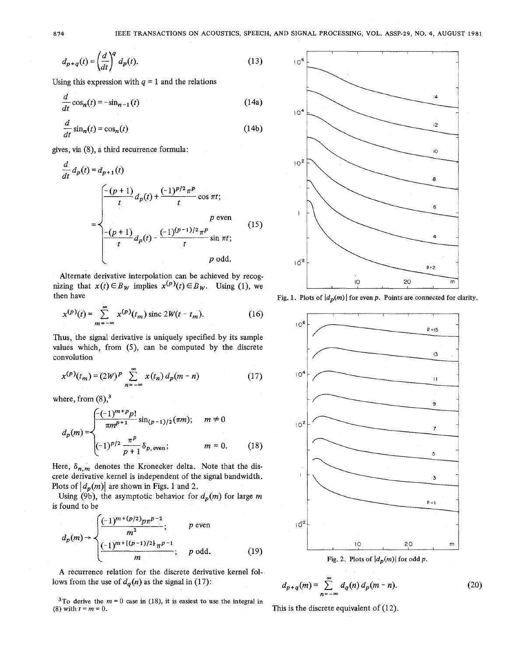$$
d_{p+q}(t) = \left(\frac{d}{dt}\right)^q d_p(t).
$$
 (13)

Using this expression with 
$$
q = 1
$$
 and the relations  
\n
$$
\frac{d}{dt} \cos_n(t) = -\sin_{n-1}(t)
$$
\n(14a)

$$
\frac{d}{dt}\sin_n(t) = \cos_n(t) \tag{14b}
$$

gives, via **(8),** a third recurrence formula:

$$
\frac{d}{dt} d_p(t) = d_{p+1}(t)
$$
\n
$$
= \begin{cases}\n\frac{-(p+1)}{t} d_p(t) + \frac{(-1)^{p/2} \pi^p}{t} \cos \pi t; & p \text{ even} \\
\frac{-(p+1)}{t} d_p(t) - \frac{(-1)^{(p-1)/2} \pi^p}{t} \sin \pi t; & p \text{ odd.} \n\end{cases}
$$
\n(15)

Alternate derivative interpolation can be achieved by recognizing that  $x(t) \in B_W$  implies  $x^{(p)}(t) \in B_W$ . Using (1), we then have **Fig. 1.** Plots of  $|d_n(m)|$  for even p. Points are connected for clarity.

$$
x^{(p)}(t) = \sum_{m = -\infty}^{\infty} x^{(p)}(t_m) \text{ sinc } 2W(t - t_m).
$$
 (16)

Thus, the signal derivative is uniquely specified by its sample values which, from (S), can be computed by the discrete convolution

$$
x^{(p)}(t_m) = (2W)^p \sum_{n=-\infty}^{\infty} x(t_n) d_p(m-n)
$$
 (17)

where, from  $(8)$ ,<sup>3</sup>

$$
d_p(m) = \begin{cases} \frac{-(-1)^{m+p}p!}{\pi m^{p+1}} \sin_{(p-1)/2}(\pi m); & m \neq 0\\ \frac{-1}{p} \frac{\pi^p}{p+1} \delta_{p,\text{even}}; & m = 0. \end{cases}
$$
 (18)

Here,  $\delta_{n,m}$  denotes the Kronecker delta. Note that the discrete derivative kernel is independent of the signal bandwidth. Plots of  $|d_p(m)|$  are shown in Figs. 1 and 2.

Using (9b), the asymptotic behavior for  $d_p(m)$  for large m is found to be

$$
d_p(m) \rightarrow \begin{cases} \frac{(-1)^{m+(p/2)}p\pi^{p-2}}{m^2}; & p \text{ even} \\ \frac{(-1)^{m+(p-1)/2}}{m}; & p \text{ odd.} \end{cases}
$$
(19)

**A** recurrence relation for the discrete derivative kernel follows from the use of  $d_a(n)$  as the signal in (17):

**3To derive the**  $m = 0$  **case in (18), it is easiest to use the integral in (8) with**  $t = m = 0$ **.** 





Fig. 2. Plots of  $|d_p(m)|$  for odd p.

$$
d_{p+q}(m) = \sum_{n=-\infty}^{\infty} d_q(n) d_p(m-n).
$$
 (20)

This is the discrete equivalent of (12).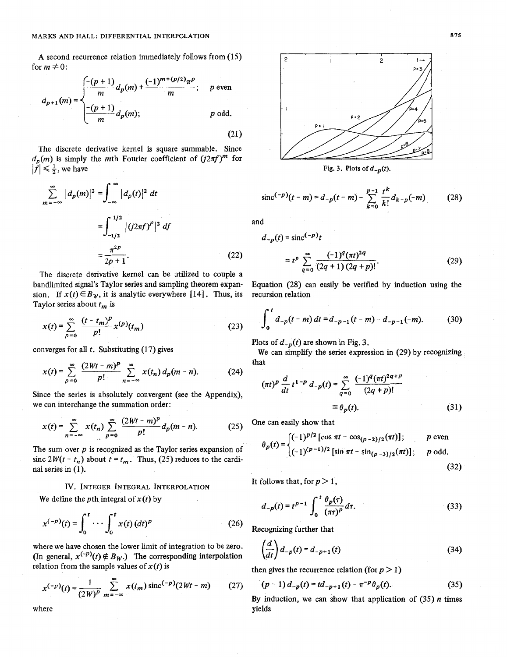A second recurrence relation immediately follows from (15) for  $m \neq 0$ :

$$
d_{p+1}(m) = \begin{cases} \frac{-(p+1)}{m} d_p(m) + \frac{(-1)^{m+(p/2)} \pi^p}{m}; & p \text{ even} \\ \frac{-(p+1)}{m} d_p(m); & p \text{ odd.} \end{cases}
$$
(21)

The discrete derivative kernel is square summable. Since  $d_p(m)$  is simply the mth Fourier coefficient of  $(i2\pi f)^m$  for  $|f| \leq \frac{1}{2}$ , we have

$$
\sum_{m=-\infty}^{\infty} |d_p(m)|^2 = \int_{-\infty}^{\infty} |d_p(t)|^2 dt
$$
  
= 
$$
\int_{-1/2}^{1/2} |(j2\pi f)^P|^2 df
$$
  
= 
$$
\frac{\pi^{2p}}{2p+1}.
$$
 (22)

The discrete derivative kernel can be utilized to couple a bandlimited signal's Taylor series and sampling theorem expan- Equation **(28)** can easily be verified by induction using the sion. If  $x(t) \in B_W$ , it is analytic everywhere [14]. Thus, its recursion relation Taylor series about *tm* is

$$
x(t) = \sum_{p=0}^{\infty} \frac{(t - t_m)^p}{p!} x^{(p)}(t_m)
$$
 (23)

converges for all *t.* Substituting **(17)** gives

$$
x(t) = \sum_{p=0}^{\infty} \frac{(2Wt - m)^p}{p!} \sum_{n=-\infty}^{\infty} x(t_n) d_p(m - n).
$$
 (24)

Since the series is absolutely convergent (see the Appendix), we can interchange the summation order:

$$
x(t) = \sum_{n=-\infty}^{\infty} x(t_n) \sum_{p=0}^{\infty} \frac{(2Wt - m)^p}{p!} d_p(m - n).
$$
 (25) One can easily show that  
\n
$$
(-1)^{p/2} \left[ \cos \frac{(n-1)^p}{p} \right]
$$

The sum over *p* is recognized as the Taylor series expansion of sinc  $2W(t - t_n)$  about  $t = t_m$ . Thus, (25) reduces to the cardinal series **in (1). (32)** 

# IV. INTEGER INTEGRAL INTERPOLATION It follows that, for  $p > 1$ ,

We define the *p*th integral of  $x(t)$  by

$$
x^{(-p)}(t) = \int_0^t \cdots \int_0^t x(t) \, (dt)^p \tag{26}
$$

where we have chosen the lower limit of integration to be zero. (In general,  $x^{(-p)}(t) \notin B_W$ .) The corresponding interpolation relation from the sample values of  $x(t)$  is Recognizing further that<br>
ere we have chosen the lower limit of integration to be zero.<br>
general,  $x^{(-p)}(t) \notin B_W$ .) The corresponding interpolation<br>
tion from the sample values of  $x(t)$  is<br>  $x^{(-p)}(t) = \frac{1}{(2W)^p} \sum_{m=-\infty}^{\$ 

$$
x^{(-p)}(t) = \frac{1}{(2W)^p} \sum_{m = -\infty}^{\infty} x(t_m) \operatorname{sinc}^{(-p)}(2Wt - m) \tag{27}
$$



$$
\operatorname{sinc}^{(-p)}(t-m) = d_{-p}(t-m) - \sum_{k=0}^{p-1} \frac{t^k}{k!} d_{k-p}(-m) \tag{28}
$$

and

$$
d_{-p}(t) = \operatorname{sinc}^{(-p)} t
$$
  
\n
$$
\frac{\pi^{2p}}{2p+1}.
$$
\n(22)\n
$$
= t^p \sum_{q=0}^{\infty} \frac{(-1)^q (\pi t)^{2q}}{(2q+1) (2q+p)!}.
$$
\n(29)

$$
\int_0^t d_{-p}(t-m) dt = d_{-p-1}(t-m) - d_{-p-1}(-m). \tag{30}
$$

Plots of  $d_{-p}(t)$  are shown in Fig. 3.

We can simplify the series expression in **(29)** by recognizing

$$
(\pi t)^p \frac{d}{dt} t^{1-p} d_{-p}(t) = \sum_{q=0}^{\infty} \frac{(-1)^q (\pi t)^{2q+p}}{(2q+p)!}
$$

$$
\equiv \theta_p(t). \tag{31}
$$

$$
p = 0
$$
\n
$$
p = 0
$$
\n
$$
p = 0
$$
\n
$$
p = 0
$$
\n
$$
p = 0
$$
\n
$$
p = 0
$$
\n
$$
p = 0
$$
\n
$$
p = 0
$$
\n
$$
p = 0
$$
\n
$$
p = 0
$$
\n
$$
p = 0
$$
\n
$$
p = 0
$$
\n
$$
p = 0
$$
\n
$$
p = 0
$$
\n
$$
p = 0
$$
\n
$$
p = 0
$$
\n
$$
p = 0
$$
\n
$$
p = 0
$$
\n
$$
p = 0
$$
\n
$$
p = 0
$$
\n
$$
p = 0
$$
\n
$$
p = 0
$$
\n
$$
p = 0
$$
\n
$$
p = 0
$$
\n
$$
p = 0
$$
\n
$$
p = 0
$$
\n
$$
p = 0
$$
\n
$$
p = 0
$$
\n
$$
p = 0
$$
\n
$$
p = 0
$$
\n
$$
p = 0
$$
\n
$$
p = 0
$$
\n
$$
p = 0
$$
\n
$$
p = 0
$$
\n
$$
p = 0
$$
\n
$$
p = 0
$$
\n
$$
p = 0
$$
\n
$$
p = 0
$$
\n
$$
p = 0
$$
\n
$$
p = 0
$$
\n
$$
p = 0
$$
\n
$$
p = 0
$$
\n
$$
p = 0
$$
\n
$$
p = 0
$$
\n
$$
p = 0
$$
\n
$$
p = 0
$$
\n
$$
p = 0
$$
\n
$$
p = 0
$$
\n
$$
p = 0
$$
\n
$$
p = 0
$$
\n
$$
p = 0
$$
\n
$$
p = 0
$$
\n
$$
p = 0
$$
\n
$$
p = 0
$$
\n
$$
p =
$$

$$
d_{-p}(t) = t^{p-1} \int_0^t \frac{\theta_p(\tau)}{(\pi \tau)^p} d\tau.
$$
 (33)

**(26)** Recognizing further that

$$
\left(\frac{d}{dt}\right)d_{-p}(t) = d_{-p+1}(t) \tag{34}
$$

then gives the recurrence relation (for  $p > 1$ )

$$
(p-1)d_{-p}(t) = td_{-p+1}(t) - \pi^{-p}\theta_p(t). \tag{35}
$$

where yields yields

875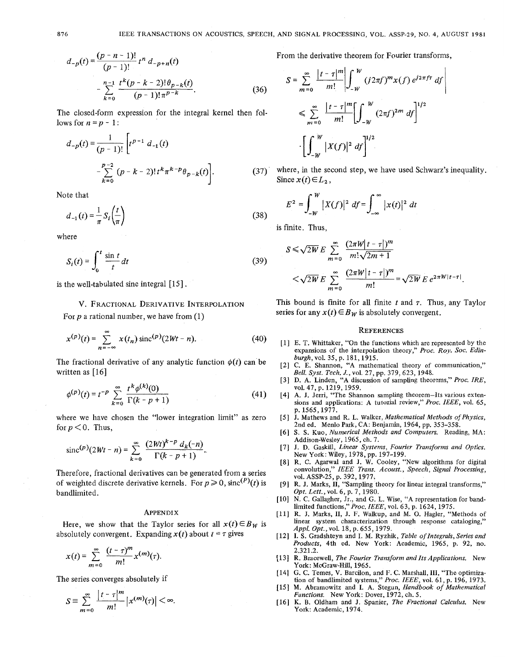$$
d_{-p}(t) = \frac{(p - n - 1)!}{(p - 1)!} t^n d_{-p+n}(t)
$$
  
- 
$$
\sum_{k=0}^{n-1} \frac{t^k (p - k - 2)! \theta_{p-k}(t)}{(p - 1)! \pi^{p-k}}.
$$
 (36)

The closed-form expression for the integral kernel then follows for  $n = p - 1$ :

$$
d_{-p}(t) = \frac{1}{(p-1)!} \left[ t^{p-1} d_{-1}(t) - \sum_{k=0}^{p-2} (p-k-2)! t^k \pi^{k-p} \theta_{p-k}(t) \right].
$$

Note that

$$
d_{-1}(t) = \frac{1}{\pi} S_i \left(\frac{t}{\pi}\right) \tag{38}
$$

where

$$
S_i(t) = \int_0^t \frac{\sin t}{t} dt
$$
 (3)

is the well-tabulated sine integral  $[15]$ .

**V.** FRACTIONAL DERIVATIVE INTERPOLATION For *p* a rational number, we have from (1)

$$
x^{(p)}(t) = \sum_{n=-\infty}^{\infty} x(t_n) \operatorname{sinc}^{(p)}(2Wt - n). \tag{40}
$$

The fractional derivative of any analytic function  $\phi(t)$  can be written as  $[16]$ 

$$
\phi^{(p)}(t) = t^{-p} \sum_{k=0}^{\infty} \frac{t^k \phi^{(k)}(0)}{\Gamma(k - p + 1)}
$$
(41)

where we have chosen the "lower integration limit" as zero for  $p < 0$ . Thus,

$$
\mathrm{sinc}^{(p)}(2Wt - n) = \sum_{k=0}^{\infty} \frac{(2Wt)^{k-p} d_k(-n)}{\Gamma(k - p + 1)}.
$$

Therefore, fractional derivatives can be generated from a series of weighted discrete derivative kernels. For  $p \ge 0$ , sinc<sup>(P)</sup>(t) is bandlimited.

### APPENDIX

Here, we show that the Taylor series for all  $x(t) \in B_W$  is absolutely convergent. Expanding  $x(t)$  about  $t = \tau$  gives

$$
x(t)=\sum_{m=0}^{\infty}\frac{(t-\tau)^m}{m!}x^{(m)}(\tau).
$$

The series converges absolutely if

$$
S \equiv \sum_{m=0}^{\infty} \frac{\left| t - \tau \right|^m}{m!} \left| x^{(m)}(\tau) \right| < \infty.
$$

From the derivative theorem for Fourier transforms,

$$
S = \sum_{m=0}^{\infty} \frac{|t - \tau|^m}{m!} \left| \int_{-W}^{W} (j2\pi f)^m x(f) e^{j2\pi f \tau} df \right|
$$
  

$$
\leq \sum_{m=0}^{\infty} \frac{|t - \tau|^m}{m!} \left[ \int_{-W}^{W} (2\pi f)^{2m} df \right]^{1/2}
$$
  

$$
\cdot \left[ \int_{-W}^{W} |X(f)|^2 df \right]^{1/2}.
$$

 $(37)$ where, in the second step, we have used Schwarz's inequality. Since  $x(t) \in L_2$ ,

$$
E^{2} = \int_{-W}^{W} |X(f)|^{2} df = \int_{-\infty}^{\infty} |x(t)|^{2} dt
$$

is finite. Thus,

9)  

$$
S \le \sqrt{2W} E \sum_{m=0}^{\infty} \frac{(2\pi W |t-\tau|)^m}{m! \sqrt{2m+1}}
$$

$$
<\sqrt{2W} E \sum_{m=0}^{\infty} \frac{(2\pi W |t-\tau|)^m}{m!} = \sqrt{2W} E e^{2\pi W |t-\tau|}.
$$

This bound is finite for all finite  $t$  and  $\tau$ . Thus, any Taylor series for any  $x(t) \in B_W$  is absolutely convergent.

### **REFERENCES**

- E. T. Whittaker, "On the functions which are represented by the expansions of the interpolation theory," *Proc. Roy. SOC. Edinburgh,vol.* 35, p. 181,1915.
- C. **E.** Shannon, "A mathematical theory of communication," *Bell. Syst. Tech. J.,* vol. 27, pp. 379,623, 1948.
- D. A. Linden, "A discussion of sampling theorems," *Proc. IRE,*  vol. 47, p. 1219, 1959.
- A. J. Jerri, "The Shannon sampling theorem-Its various extensions and applications: A tutorial review," *Proc. IEEE,* vol. 65, p. 1565,1977.
- [5] J. Mathews and R. L. Walker, *Mathematical Methods of Physics*, 2nd ed. Menlo Park, CA: Benjamin, 1964, **pp.** 353-358.
- **S. S.** Kuo, *Numerical Methods and Computers.* Reading, MA: Addison-Wesley, 1965, ch. 7.
- J. D. Gaskill, *Linear Systems, Fourier Transforms and Optics.*  New York: Wiley, 1978, pp. 197-199.
- R. **C.** Agarwal and J. W. Cooley, "New algorithms for digital convolution," *IEEE Trans. Acoust., Speech, Signal Processing,*  VO~. **ASSP-25,** p. 392,1977;
- R. **J.** Marks, **11,** "Sampling theory for linear integral transforms," *Opt. Lett.,* vol. 6, p. 7,1980.
- $[10]$ N. C. Gallagher, Jr., and G. L. Wise, "A representation for bandlimited functions," *Proc. IEEE,* vol. 63, p. 1624, 1975.
- R. J. Marks, **11,** J. **F.** Walkup, and M. 0. Hagler, "Methods of linear system characterization through response cataloging,' *Appl. Opt.,voL* 18, p. 655,1979.
- [12] I. S. Gradshteyn and I. M. Ryzhik, *Table of Integrals*, *Series and Products,* 4th ed. New York: Academic, 1965, p. 92, no. 2.321.2.
- [13] R. Bracewell, *The Fourier Transform and Its Applications*. New York: McGraw-Hill, 1965.
- G. **C.** Temes, **V.** Barcilon, and **F. C.** Marshall, **111,** "The optimization of bandlimited systems," *Proc. IEEE,* vol. 61, p. 196, 1973.
- M. Abramowitz and **I.** A. Stegun, *Handbook of Mathematical Functions.* New York: Dover, 1972, ch. *5.*
- K. B. Oldham and **J.** Spanier, *The Fractional Calculus.* New York: Academic, 1974.